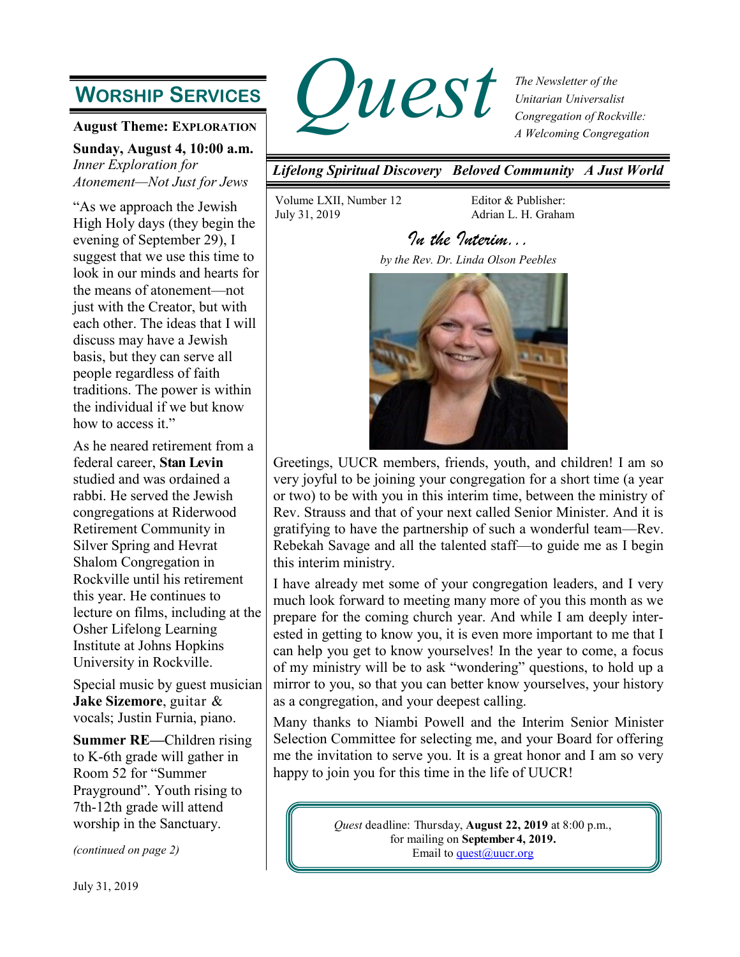# **WORSHIP SERVICES**

**August Theme: EXPLORATION**

**Sunday, August 4, 10:00 a.m.** *Inner Exploration for Atonement—Not Just for Jews*

"As we approach the Jewish High Holy days (they begin the evening of September 29), I suggest that we use this time to look in our minds and hearts for the means of atonement—not just with the Creator, but with each other. The ideas that I will discuss may have a Jewish basis, but they can serve all people regardless of faith traditions. The power is within the individual if we but know how to access it."

As he neared retirement from a federal career, **Stan Levin** studied and was ordained a rabbi. He served the Jewish congregations at Riderwood Retirement Community in Silver Spring and Hevrat Shalom Congregation in Rockville until his retirement this year. He continues to lecture on films, including at the Osher Lifelong Learning Institute at Johns Hopkins University in Rockville.

Special music by guest musician **Jake Sizemore**, guitar & vocals; Justin Furnia, piano.

**Summer RE—**Children rising to K-6th grade will gather in Room 52 for "Summer Prayground". Youth rising to 7th-12th grade will attend worship in the Sanctuary.

*(continued on page 2)*



*The Newsletter of the Unitarian Universalist Congregation of Rockville: A Welcoming Congregation*

*Lifelong Spiritual Discovery Beloved Community A Just World*

Volume LXII, Number 12 July 31, 2019

Editor & Publisher: Adrian L. H. Graham

# *In the Interim...*

*by the Rev. Dr. Linda Olson Peebles* 



Greetings, UUCR members, friends, youth, and children! I am so very joyful to be joining your congregation for a short time (a year or two) to be with you in this interim time, between the ministry of Rev. Strauss and that of your next called Senior Minister. And it is gratifying to have the partnership of such a wonderful team—Rev. Rebekah Savage and all the talented staff—to guide me as I begin this interim ministry.

I have already met some of your congregation leaders, and I very much look forward to meeting many more of you this month as we prepare for the coming church year. And while I am deeply interested in getting to know you, it is even more important to me that I can help you get to know yourselves! In the year to come, a focus of my ministry will be to ask "wondering" questions, to hold up a mirror to you, so that you can better know yourselves, your history as a congregation, and your deepest calling.

Many thanks to Niambi Powell and the Interim Senior Minister Selection Committee for selecting me, and your Board for offering me the invitation to serve you. It is a great honor and I am so very happy to join you for this time in the life of UUCR!

> *Quest* deadline: Thursday, **August 22, 2019** at 8:00 p.m., for mailing on **September 4, 2019.** Email to quest $@$ uucr.org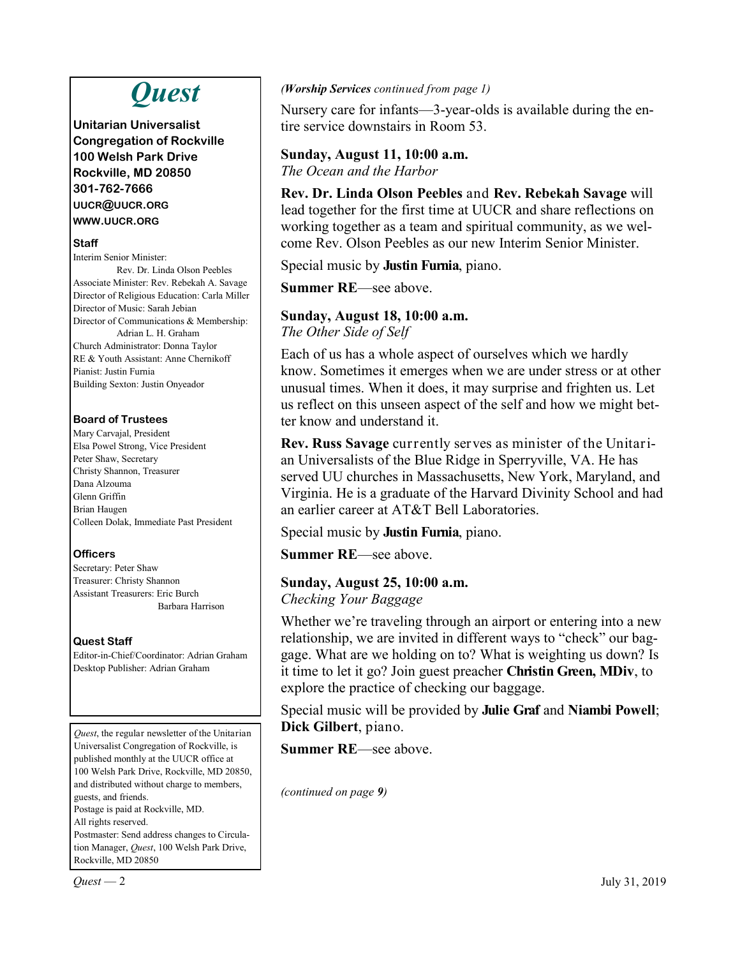# *Quest*

**Unitarian Universalist Congregation of Rockville 100 Welsh Park Drive Rockville, MD 20850 301-762-7666 UUCR@UUCR.ORG WWW.UUCR.ORG**

#### **Staff**

Interim Senior Minister: Rev. Dr. Linda Olson Peebles Associate Minister: Rev. Rebekah A. Savage Director of Religious Education: Carla Miller Director of Music: Sarah Jebian Director of Communications & Membership: Adrian L. H. Graham Church Administrator: Donna Taylor RE & Youth Assistant: Anne Chernikoff Pianist: Justin Furnia Building Sexton: Justin Onyeador

#### **Board of Trustees**

Mary Carvajal, President Elsa Powel Strong, Vice President Peter Shaw, Secretary Christy Shannon, Treasurer Dana Alzouma Glenn Griffin Brian Haugen Colleen Dolak, Immediate Past President

#### **Officers**

Secretary: Peter Shaw Treasurer: Christy Shannon Assistant Treasurers: Eric Burch Barbara Harrison

#### **Quest Staff**

Editor-in-Chief/Coordinator: Adrian Graham Desktop Publisher: Adrian Graham

*Quest*, the regular newsletter of the Unitarian Universalist Congregation of Rockville, is published monthly at the UUCR office at 100 Welsh Park Drive, Rockville, MD 20850, and distributed without charge to members, guests, and friends. Postage is paid at Rockville, MD. All rights reserved. Postmaster: Send address changes to Circulation Manager, *Quest*, 100 Welsh Park Drive, Rockville, MD 20850

#### *(Worship Services continued from page 1)*

Nursery care for infants—3-year-olds is available during the entire service downstairs in Room 53.

## **Sunday, August 11, 10:00 a.m.**

*The Ocean and the Harbor*

**Rev. Dr. Linda Olson Peebles** and **Rev. Rebekah Savage** will lead together for the first time at UUCR and share reflections on working together as a team and spiritual community, as we welcome Rev. Olson Peebles as our new Interim Senior Minister.

Special music by **Justin Furnia**, piano.

**Summer RE**—see above.

# **Sunday, August 18, 10:00 a.m.**

*The Other Side of Self*

Each of us has a whole aspect of ourselves which we hardly know. Sometimes it emerges when we are under stress or at other unusual times. When it does, it may surprise and frighten us. Let us reflect on this unseen aspect of the self and how we might better know and understand it.

**Rev. Russ Savage** currently serves as minister of the Unitarian Universalists of the Blue Ridge in Sperryville, VA. He has served UU churches in Massachusetts, New York, Maryland, and Virginia. He is a graduate of the Harvard Divinity School and had an earlier career at AT&T Bell Laboratories.

Special music by **Justin Furnia**, piano.

**Summer RE**—see above.

### **Sunday, August 25, 10:00 a.m.**

*Checking Your Baggage*

Whether we're traveling through an airport or entering into a new relationship, we are invited in different ways to "check" our baggage. What are we holding on to? What is weighting us down? Is it time to let it go? Join guest preacher **Christin Green, MDiv**, to explore the practice of checking our baggage.

Special music will be provided by **Julie Graf** and **Niambi Powell**; **Dick Gilbert**, piano.

**Summer RE**—see above.

*(continued on page 9)*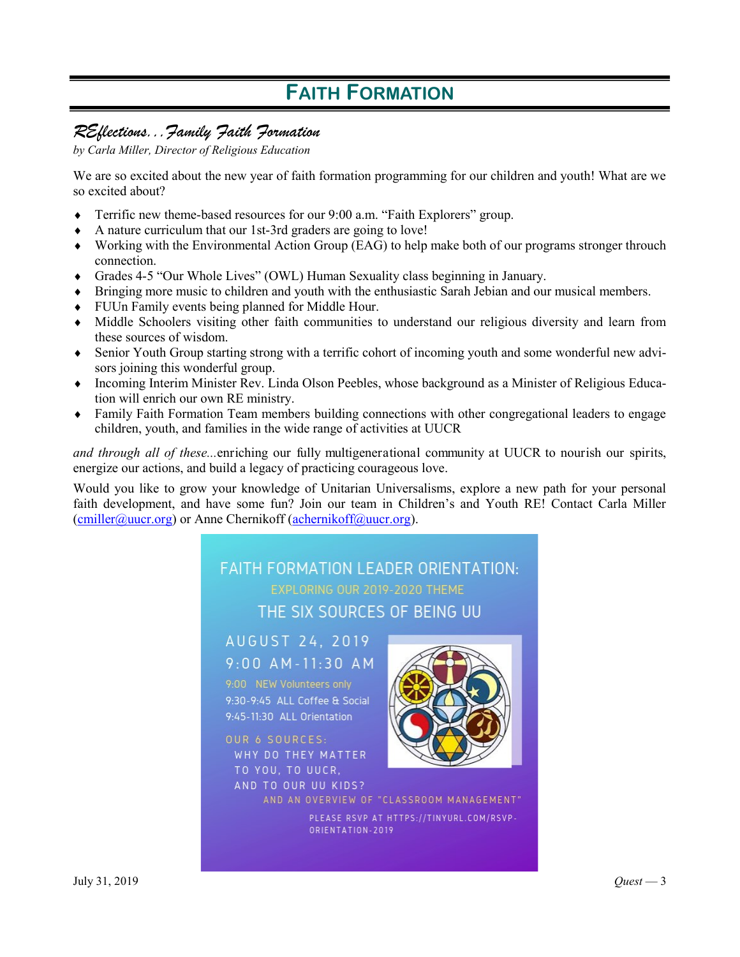# **FAITH FORMATION**

## *REflections...Family Faith Formation*

*by Carla Miller, Director of Religious Education* 

We are so excited about the new year of faith formation programming for our children and youth! What are we so excited about?

- Terrific new theme-based resources for our 9:00 a.m. "Faith Explorers" group.
- A nature curriculum that our 1st-3rd graders are going to love!
- Working with the Environmental Action Group (EAG) to help make both of our programs stronger throuch connection.
- Grades 4-5 "Our Whole Lives" (OWL) Human Sexuality class beginning in January.
- Bringing more music to children and youth with the enthusiastic Sarah Jebian and our musical members.
- FUUn Family events being planned for Middle Hour.
- Middle Schoolers visiting other faith communities to understand our religious diversity and learn from these sources of wisdom.
- Senior Youth Group starting strong with a terrific cohort of incoming youth and some wonderful new advisors joining this wonderful group.
- Incoming Interim Minister Rev. Linda Olson Peebles, whose background as a Minister of Religious Education will enrich our own RE ministry.
- Family Faith Formation Team members building connections with other congregational leaders to engage children, youth, and families in the wide range of activities at UUCR

*and through all of these...*enriching our fully multigenerational community at UUCR to nourish our spirits, energize our actions, and build a legacy of practicing courageous love.

Would you like to grow your knowledge of Unitarian Universalisms, explore a new path for your personal faith development, and have some fun? Join our team in Children's and Youth RE! Contact Carla Miller  $(cmiller@uucr.org)$  or Anne Chernikoff ([achernikoff@uucr.org\).](mailto:achernikoff@uucr.org)



PLEASE RSVP AT HTTPS://TINYURL.COM/RSVP-ORIENTATION-2019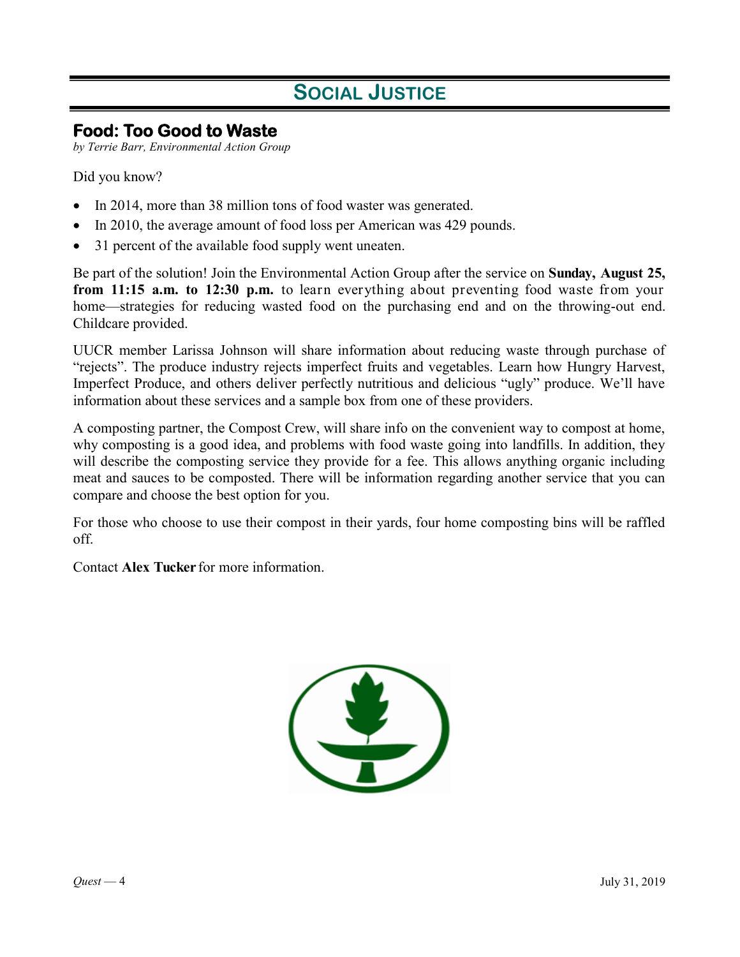# **SOCIAL JUSTICE**

## **Food: Too Good to Waste**

*by Terrie Barr, Environmental Action Group*

Did you know?

- In 2014, more than 38 million tons of food waster was generated.
- In 2010, the average amount of food loss per American was 429 pounds.
- 31 percent of the available food supply went uneaten.

Be part of the solution! Join the Environmental Action Group after the service on **Sunday, August 25, from 11:15 a.m. to 12:30 p.m.** to learn everything about preventing food waste from your home—strategies for reducing wasted food on the purchasing end and on the throwing-out end. Childcare provided.

UUCR member Larissa Johnson will share information about reducing waste through purchase of "rejects". The produce industry rejects imperfect fruits and vegetables. Learn how Hungry Harvest, Imperfect Produce, and others deliver perfectly nutritious and delicious "ugly" produce. We'll have information about these services and a sample box from one of these providers.

A composting partner, the Compost Crew, will share info on the convenient way to compost at home, why composting is a good idea, and problems with food waste going into landfills. In addition, they will describe the composting service they provide for a fee. This allows anything organic including meat and sauces to be composted. There will be information regarding another service that you can compare and choose the best option for you.

For those who choose to use their compost in their yards, four home composting bins will be raffled off.

Contact **Alex Tucker** for more information.

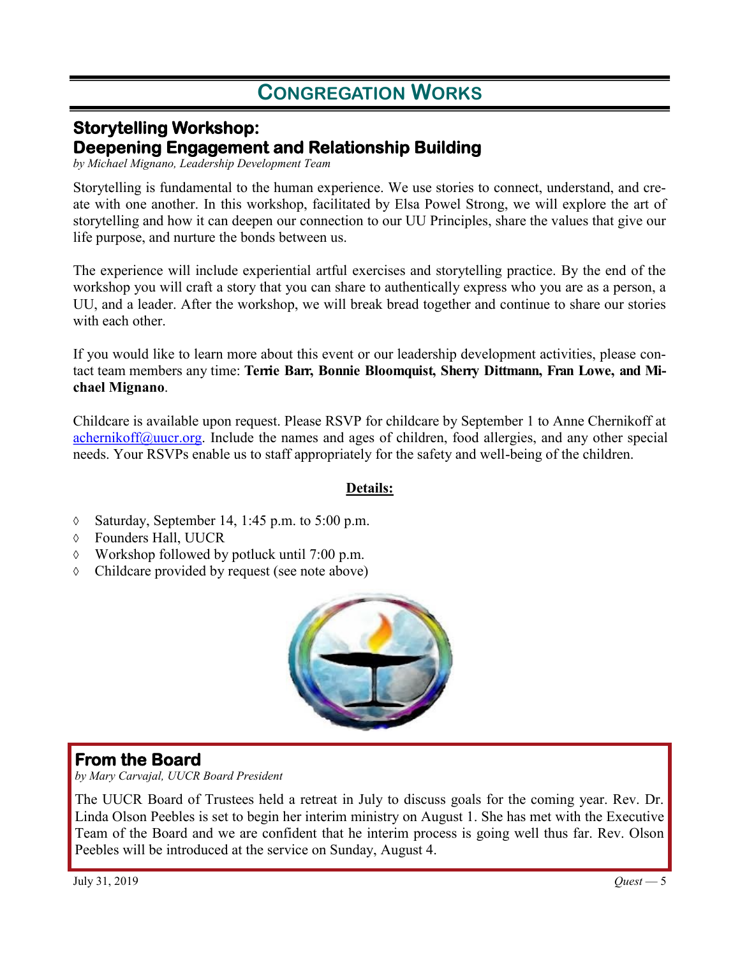# **CONGREGATION WORKS**

## **Storytelling Workshop: Deepening Engagement and Relationship Building**

*by Michael Mignano, Leadership Development Team*

Storytelling is fundamental to the human experience. We use stories to connect, understand, and create with one another. In this workshop, facilitated by Elsa Powel Strong, we will explore the art of storytelling and how it can deepen our connection to our UU Principles, share the values that give our life purpose, and nurture the bonds between us.

The experience will include experiential artful exercises and storytelling practice. By the end of the workshop you will craft a story that you can share to authentically express who you are as a person, a UU, and a leader. After the workshop, we will break bread together and continue to share our stories with each other.

If you would like to learn more about this event or our leadership development activities, please contact team members any time: **Terrie Barr, Bonnie Bloomquist, Sherry Dittmann, Fran Lowe, and Michael Mignano**.

Childcare is available upon request. Please RSVP for childcare by September 1 to Anne Chernikoff at [achernikoff@uucr.org.](mailto:achernikoff@uucr.org?subject=re:%20Storytelling%20Workshop%20on%20September%2014%20(childcare)) Include the names and ages of children, food allergies, and any other special needs. Your RSVPs enable us to staff appropriately for the safety and well-being of the children.

### **Details:**

- $\lozenge$  Saturday, September 14, 1:45 p.m. to 5:00 p.m.
- Founders Hall, UUCR
- $\Diamond$  Workshop followed by potluck until 7:00 p.m.
- Childcare provided by request (see note above)



## **From the Board**

*by Mary Carvajal, UUCR Board President*

The UUCR Board of Trustees held a retreat in July to discuss goals for the coming year. Rev. Dr. Linda Olson Peebles is set to begin her interim ministry on August 1. She has met with the Executive Team of the Board and we are confident that he interim process is going well thus far. Rev. Olson Peebles will be introduced at the service on Sunday, August 4.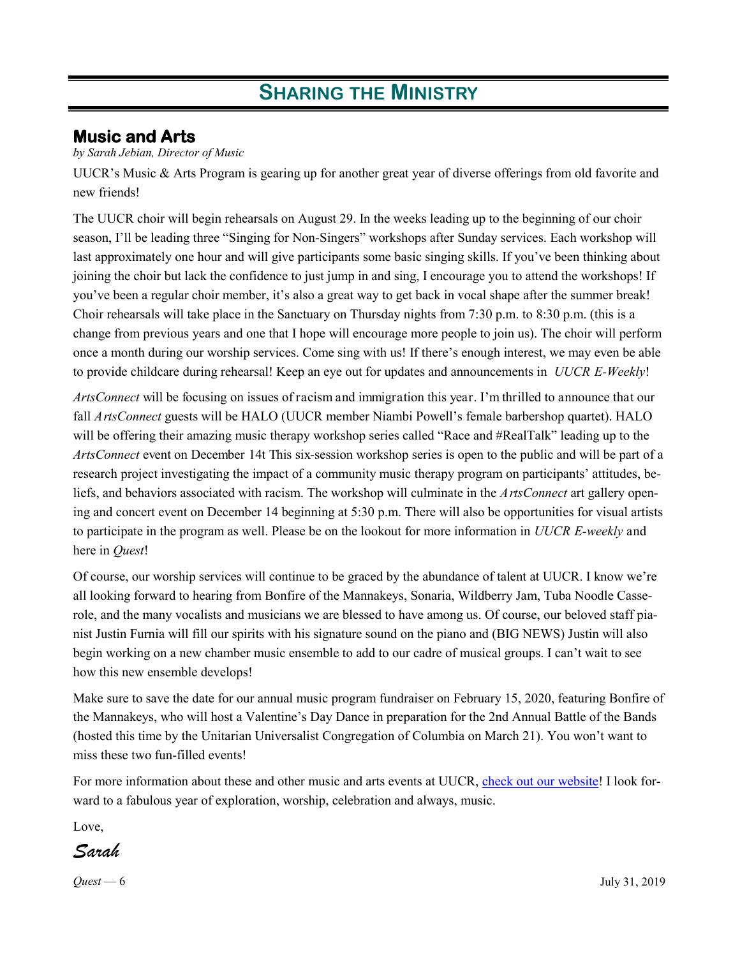## **Music and Arts**

#### *by Sarah Jebian, Director of Music*

UUCR's Music & Arts Program is gearing up for another great year of diverse offerings from old favorite and new friends!

The UUCR choir will begin rehearsals on August 29. In the weeks leading up to the beginning of our choir season, I'll be leading three "Singing for Non-Singers" workshops after Sunday services. Each workshop will last approximately one hour and will give participants some basic singing skills. If you've been thinking about joining the choir but lack the confidence to just jump in and sing, I encourage you to attend the workshops! If you've been a regular choir member, it's also a great way to get back in vocal shape after the summer break! Choir rehearsals will take place in the Sanctuary on Thursday nights from 7:30 p.m. to 8:30 p.m. (this is a change from previous years and one that I hope will encourage more people to join us). The choir will perform once a month during our worship services. Come sing with us! If there's enough interest, we may even be able to provide childcare during rehearsal! Keep an eye out for updates and announcements in *UUCR E-Weekly*!

*ArtsConnect* will be focusing on issues of racism and immigration this year. I'm thrilled to announce that our fall *ArtsConnect* guests will be HALO (UUCR member Niambi Powell's female barbershop quartet). HALO will be offering their amazing music therapy workshop series called "Race and #RealTalk" leading up to the *ArtsConnect* event on December 14t This six-session workshop series is open to the public and will be part of a research project investigating the impact of a community music therapy program on participants' attitudes, beliefs, and behaviors associated with racism. The workshop will culminate in the *ArtsConnect* art gallery opening and concert event on December 14 beginning at 5:30 p.m. There will also be opportunities for visual artists to participate in the program as well. Please be on the lookout for more information in *UUCR E-weekly* and here in *Quest*!

Of course, our worship services will continue to be graced by the abundance of talent at UUCR. I know we're all looking forward to hearing from Bonfire of the Mannakeys, Sonaria, Wildberry Jam, Tuba Noodle Casserole, and the many vocalists and musicians we are blessed to have among us. Of course, our beloved staff pianist Justin Furnia will fill our spirits with his signature sound on the piano and (BIG NEWS) Justin will also begin working on a new chamber music ensemble to add to our cadre of musical groups. I can't wait to see how this new ensemble develops!

Make sure to save the date for our annual music program fundraiser on February 15, 2020, featuring Bonfire of the Mannakeys, who will host a Valentine's Day Dance in preparation for the 2nd Annual Battle of the Bands (hosted this time by the Unitarian Universalist Congregation of Columbia on March 21). You won't want to miss these two fun-filled events!

For more information about these and other music and arts events at UUCR, [check out our website!](https://uucrmusic.weebly.com/) I look forward to a fabulous year of exploration, worship, celebration and always, music.

Love,

*Sarah*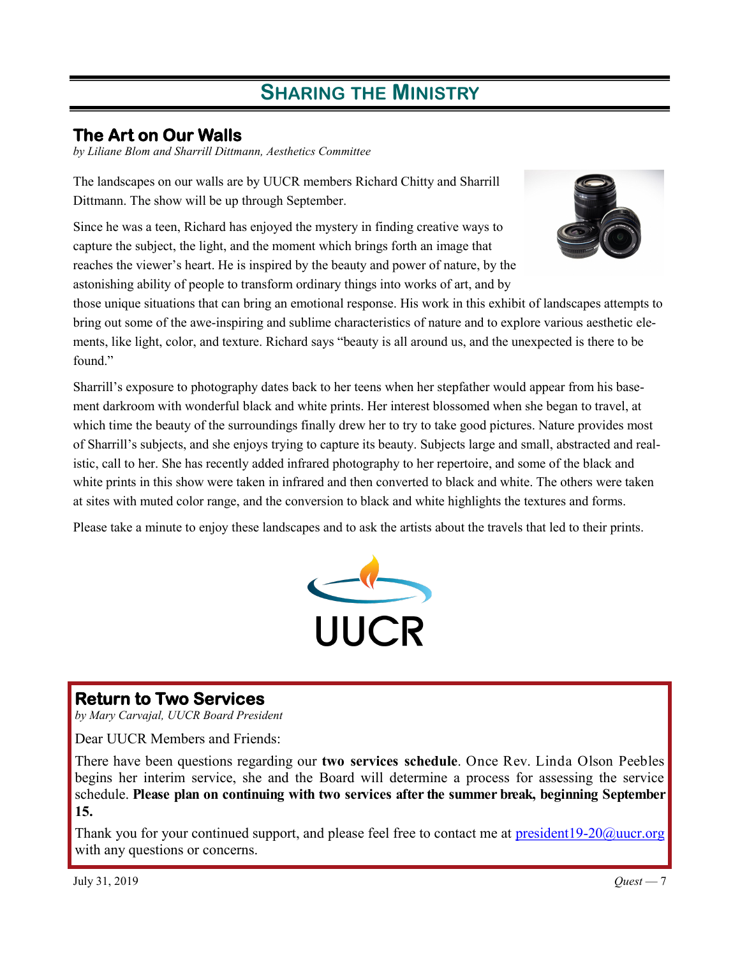## **The Art on Our Walls**

*by Liliane Blom and Sharrill Dittmann, Aesthetics Committee*

The landscapes on our walls are by UUCR members Richard Chitty and Sharrill Dittmann. The show will be up through September.

Since he was a teen, Richard has enjoyed the mystery in finding creative ways to capture the subject, the light, and the moment which brings forth an image that reaches the viewer's heart. He is inspired by the beauty and power of nature, by the astonishing ability of people to transform ordinary things into works of art, and by



those unique situations that can bring an emotional response. His work in this exhibit of landscapes attempts to bring out some of the awe-inspiring and sublime characteristics of nature and to explore various aesthetic elements, like light, color, and texture. Richard says "beauty is all around us, and the unexpected is there to be found."

Sharrill's exposure to photography dates back to her teens when her stepfather would appear from his basement darkroom with wonderful black and white prints. Her interest blossomed when she began to travel, at which time the beauty of the surroundings finally drew her to try to take good pictures. Nature provides most of Sharrill's subjects, and she enjoys trying to capture its beauty. Subjects large and small, abstracted and realistic, call to her. She has recently added infrared photography to her repertoire, and some of the black and white prints in this show were taken in infrared and then converted to black and white. The others were taken at sites with muted color range, and the conversion to black and white highlights the textures and forms.

Please take a minute to enjoy these landscapes and to ask the artists about the travels that led to their prints.



## **Return to Two Services**

*by Mary Carvajal, UUCR Board President*

Dear UUCR Members and Friends:

There have been questions regarding our **two services schedule**. Once Rev. Linda Olson Peebles begins her interim service, she and the Board will determine a process for assessing the service schedule. **Please plan on continuing with two services after the summer break, beginning September 15.**

Thank you for your continued support, and please feel free to contact me at president  $19\n-20$ @uucr.org with any questions or concerns.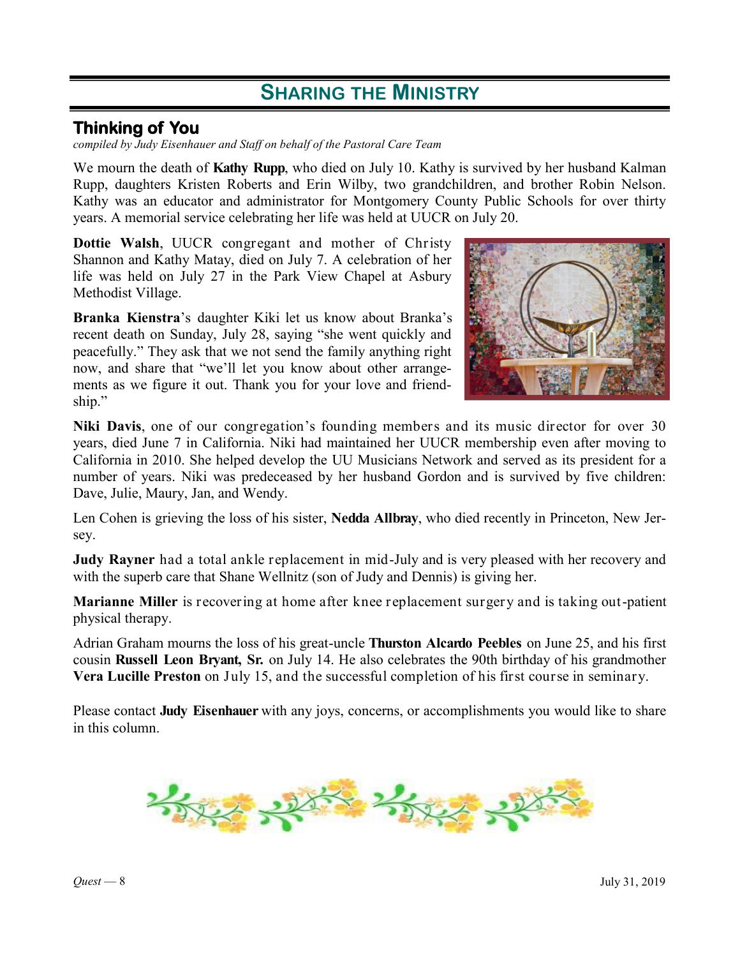## **Thinking of You**

*compiled by Judy Eisenhauer and Staff on behalf of the Pastoral Care Team*

We mourn the death of **Kathy Rupp**, who died on July 10. Kathy is survived by her husband Kalman Rupp, daughters Kristen Roberts and Erin Wilby, two grandchildren, and brother Robin Nelson. Kathy was an educator and administrator for Montgomery County Public Schools for over thirty years. A memorial service celebrating her life was held at UUCR on July 20.

**Dottie Walsh**, UUCR congregant and mother of Christy Shannon and Kathy Matay, died on July 7. A celebration of her life was held on July 27 in the Park View Chapel at Asbury Methodist Village.

**Branka Kienstra**'s daughter Kiki let us know about Branka's recent death on Sunday, July 28, saying "she went quickly and peacefully." They ask that we not send the family anything right now, and share that "we'll let you know about other arrangements as we figure it out. Thank you for your love and friendship."



**Niki Davis**, one of our congregation's founding members and its music director for over 30 years, died June 7 in California. Niki had maintained her UUCR membership even after moving to California in 2010. She helped develop the UU Musicians Network and served as its president for a number of years. Niki was predeceased by her husband Gordon and is survived by five children: Dave, Julie, Maury, Jan, and Wendy.

Len Cohen is grieving the loss of his sister, **Nedda Allbray**, who died recently in Princeton, New Jersey.

**Judy Rayner** had a total ankle replacement in mid-July and is very pleased with her recovery and with the superb care that Shane Wellnitz (son of Judy and Dennis) is giving her.

**Marianne Miller** is recovering at home after knee replacement surgery and is taking out-patient physical therapy.

Adrian Graham mourns the loss of his great-uncle **Thurston Alcardo Peebles** on June 25, and his first cousin **Russell Leon Bryant, Sr.** on July 14. He also celebrates the 90th birthday of his grandmother **Vera Lucille Preston** on July 15, and the successful completion of his first course in seminary.

Please contact **Judy Eisenhauer** with any joys, concerns, or accomplishments you would like to share in this column.

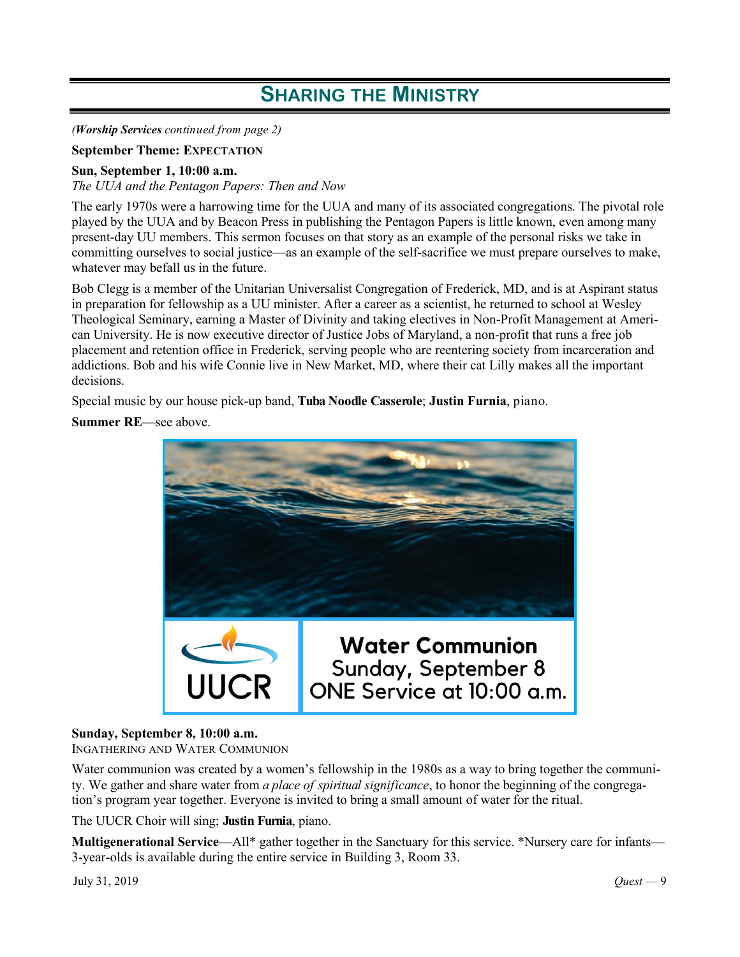*(Worship Services continued from page 2)*

#### **September Theme: EXPECTATION**

#### **Sun, September 1, 10:00 a.m.**

*The UUA and the Pentagon Papers: Then and Now*

The early 1970s were a harrowing time for the UUA and many of its associated congregations. The pivotal role played by the UUA and by Beacon Press in publishing the Pentagon Papers is little known, even among many present-day UU members. This sermon focuses on that story as an example of the personal risks we take in committing ourselves to social justice—as an example of the self-sacrifice we must prepare ourselves to make, whatever may befall us in the future.

Bob Clegg is a member of the Unitarian Universalist Congregation of Frederick, MD, and is at Aspirant status in preparation for fellowship as a UU minister. After a career as a scientist, he returned to school at Wesley Theological Seminary, earning a Master of Divinity and taking electives in Non-Profit Management at American University. He is now executive director of Justice Jobs of Maryland, a non-profit that runs a free job placement and retention office in Frederick, serving people who are reentering society from incarceration and addictions. Bob and his wife Connie live in New Market, MD, where their cat Lilly makes all the important decisions.

Special music by our house pick-up band, **Tuba Noodle Casserole**; **Justin Furnia**, piano.

**Summer RE**—see above.



#### **Sunday, September 8, 10:00 a.m.**

INGATHERING AND WATER COMMUNION

Water communion was created by a women's fellowship in the 1980s as a way to bring together the community. We gather and share water from *a place of spiritual significance*, to honor the beginning of the congregation's program year together. Everyone is invited to bring a small amount of water for the ritual.

The UUCR Choir will sing; **Justin Furnia**, piano.

**Multigenerational Service—All\*** gather together in the Sanctuary for this service. \*Nursery care for infants— 3-year-olds is available during the entire service in Building 3, Room 33.

July 31, 2019 *Quest* — 9